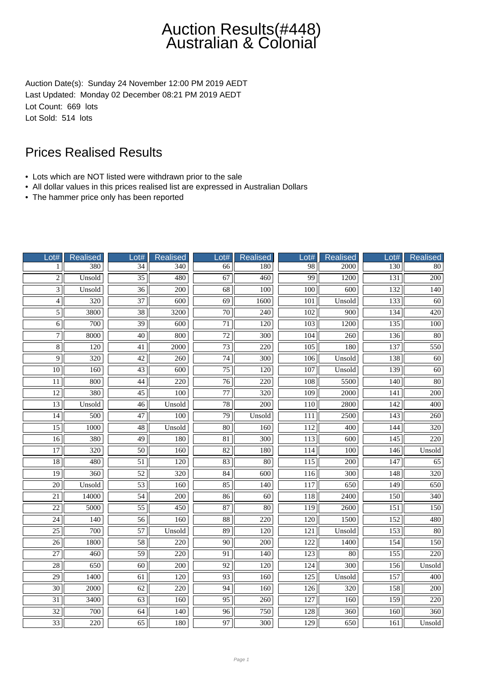Auction Date(s): Sunday 24 November 12:00 PM 2019 AEDT Last Updated: Monday 02 December 08:21 PM 2019 AEDT Lot Count: 669 lots Lot Sold: 514 lots

- Lots which are NOT listed were withdrawn prior to the sale
- All dollar values in this prices realised list are expressed in Australian Dollars
- The hammer price only has been reported

| Lot#            | Realised          | Lot#            | <b>Realised</b>  | Lot#            | <b>Realised</b>  | Lot#             | <b>Realised</b>   | Lot#             | <b>Realised</b>  |
|-----------------|-------------------|-----------------|------------------|-----------------|------------------|------------------|-------------------|------------------|------------------|
| 1               | 380               | $\overline{34}$ | 340              | 66              | 180              | 98               | 2000              | 130              | 80               |
| $\overline{2}$  | Unsold            | $\overline{35}$ | 480              | $\overline{67}$ | 460              | $\overline{99}$  | 1200              | 131              | $\overline{200}$ |
| $\overline{3}$  | Unsold            | 36              | 200              | 68              | 100              | 100              | 600               | 132              | 140              |
| $\overline{4}$  | 320               | $\overline{37}$ | 600              | 69              | 1600             | 101              | Unsold            | 133              | 60               |
| $\overline{5}$  | 3800              | $\overline{38}$ | 3200             | $\overline{70}$ | 240              | 102              | 900               | 134              | 420              |
| $\overline{6}$  | 700               | 39              | 600              | $\overline{71}$ | 120              | 103              | 1200              | 135              | $100\,$          |
| $\overline{7}$  | 8000              | $\overline{40}$ | 800              | $\overline{72}$ | $\overline{300}$ | 104              | $\overline{260}$  | 136              | $\overline{80}$  |
| $\overline{8}$  | 120               | $\overline{41}$ | 2000             | $\overline{73}$ | $\overline{220}$ | $\overline{105}$ | 180               | 137              | 550              |
| $\overline{9}$  | 320               | $\overline{42}$ | 260              | $\overline{74}$ | $\overline{300}$ | 106              | Unsold            | 138              | 60               |
| $\overline{10}$ | 160               | 43              | 600              | 75              | 120              | 107              | Unsold            | 139              | 60               |
| 11              | 800               | 44              | 220              | 76              | 220              | 108              | 5500              | 140              | $80\,$           |
| $\overline{12}$ | 380               | $\overline{45}$ | $\overline{100}$ | $\overline{77}$ | $\overline{320}$ | $\overline{109}$ | $\overline{2000}$ | $\overline{141}$ | $\overline{200}$ |
| $\overline{13}$ | Unsold            | $\overline{46}$ | Unsold           | $\overline{78}$ | $\overline{200}$ | 110              | 2800              | $\overline{142}$ | 400              |
| 14              | 500               | 47              | 100              | 79              | Unsold           | 111              | 2500              | 143              | 260              |
| $\overline{15}$ | 1000              | $\overline{48}$ | Unsold           | 80              | 160              | 112              | 400               | 144              | 320              |
| $\overline{16}$ | 380               | 49              | 180              | 81              | 300              | 113              | 600               | 145              | 220              |
| $\overline{17}$ | 320               | $\overline{50}$ | 160              | $\overline{82}$ | 180              | 114              | 100               | 146              | Unsold           |
| $\overline{18}$ | 480               | $\overline{51}$ | $\overline{120}$ | 83              | $\overline{80}$  | $\overline{115}$ | 200               | $\overline{147}$ | $\overline{65}$  |
| $\overline{19}$ | $\overline{360}$  | $\overline{52}$ | 320              | 84              | 600              | 116              | $\overline{300}$  | 148              | 320              |
| $\overline{20}$ | Unsold            | $\overline{53}$ | 160              | 85              | 140              | 117              | 650               | 149              | 650              |
| 21              | 14000             | 54              | 200              | 86              | 60               | 118              | 2400              | 150              | 340              |
| $\overline{22}$ | 5000              | $\overline{55}$ | $\overline{450}$ | $\overline{87}$ | $\overline{80}$  | $\overline{119}$ | 2600              | 151              | 150              |
| 24              | 140               | $\overline{56}$ | 160              | $\overline{88}$ | 220              | $\overline{120}$ | 1500              | 152              | 480              |
| $\overline{25}$ | 700               | $\overline{57}$ | Unsold           | 89              | $\overline{120}$ | 121              | Unsold            | 153              | 80               |
| $\overline{26}$ | 1800              | 58              | 220              | 90              | 200              | 122              | 1400              | 154              | 150              |
| $\overline{27}$ | 460               | 59              | 220              | 91              | 140              | 123              | 80                | 155              | 220              |
| $\overline{28}$ | 650               | 60              | 200              | $\overline{92}$ | 120              | 124              | 300               | 156              | Unsold           |
| $\overline{29}$ | 1400              | 61              | 120              | $\overline{93}$ | 160              | 125              | Unsold            | 157              | 400              |
| $\overline{30}$ | $\overline{2000}$ | $\overline{62}$ | $\overline{220}$ | 94              | 160              | 126              | $\overline{320}$  | 158              | $\overline{200}$ |
| $\overline{31}$ | 3400              | $\overline{63}$ | 160              | $\overline{95}$ | 260              | 127              | 160               | 159              | 220              |
| 32              | 700               | 64              | 140              | 96              | 750              | 128              | 360               | 160              | 360              |
| 33              | 220               | 65              | 180              | 97              | 300              | 129              | 650               | 161              | Unsold           |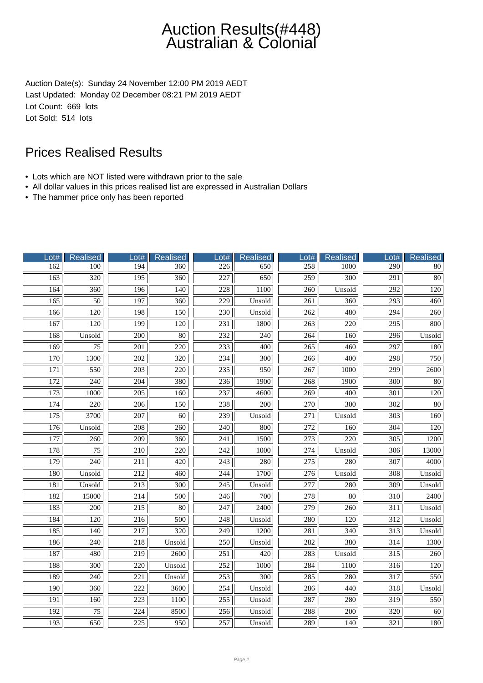Auction Date(s): Sunday 24 November 12:00 PM 2019 AEDT Last Updated: Monday 02 December 08:21 PM 2019 AEDT Lot Count: 669 lots Lot Sold: 514 lots

- Lots which are NOT listed were withdrawn prior to the sale
- All dollar values in this prices realised list are expressed in Australian Dollars
- The hammer price only has been reported

| Lot#             | Realised         | Lot#             | <b>Realised</b>  | Lot#             | Realised         | Lot#             | <b>Realised</b>  | Lot#             | <b>Realised</b>  |
|------------------|------------------|------------------|------------------|------------------|------------------|------------------|------------------|------------------|------------------|
| 162              | 100              | 194              | 360              | 226              | 650              | 258              | 1000             | 290              | 80               |
| 163              | $\overline{320}$ | $\overline{195}$ | $\overline{360}$ | $\overline{227}$ | 650              | 259              | $\overline{300}$ | $\overline{291}$ | $\overline{80}$  |
| 164              | 360              | 196              | 140              | 228              | 1100             | 260              | Unsold           | 292              | 120              |
| 165              | $\overline{50}$  | 197              | 360              | 229              | Unsold           | 261              | 360              | 293              | 460              |
| 166              | 120              | 198              | 150              | 230              | Unsold           | $\overline{262}$ | 480              | 294              | 260              |
| 167              | 120              | 199              | 120              | 231              | 1800             | $\overline{263}$ | 220              | $\overline{295}$ | 800              |
| 168              | Unsold           | $\overline{200}$ | $\overline{80}$  | $\overline{232}$ | $\overline{240}$ | $\overline{264}$ | $\overline{160}$ | $\overline{296}$ | Unsold           |
| 169              | 75               | 201              | $\overline{220}$ | 233              | 400              | 265              | 460              | $\overline{297}$ | 180              |
| 170              | 1300             | 202              | 320              | 234              | $\overline{300}$ | 266              | 400              | 298              | 750              |
| 171              | 550              | 203              | 220              | 235              | 950              | 267              | 1000             | 299              | 2600             |
| 172              | 240              | 204              | 380              | 236              | 1900             | 268              | 1900             | 300              | 80               |
| $\overline{173}$ | 1000             | $\overline{205}$ | 160              | $\overline{237}$ | 4600             | $\overline{269}$ | $\overline{400}$ | $\overline{301}$ | $\overline{120}$ |
| 174              | 220              | 206              | 150              | 238              | 200              | 270              | 300              | $\overline{302}$ | $\overline{80}$  |
| 175              | 3700             | $\overline{207}$ | $\overline{60}$  | 239              | Unsold           | $\overline{271}$ | Unsold           | $\overline{303}$ | 160              |
| $\overline{176}$ | Unsold           | 208              | 260              | 240              | 800              | 272              | 160              | 304              | 120              |
| 177              | 260              | 209              | 360              | 241              | 1500             | 273              | 220              | 305              | 1200             |
| 178              | $\overline{75}$  | $\overline{210}$ | $\overline{220}$ | $\overline{242}$ | 1000             | 274              | Unsold           | $\overline{306}$ | 13000            |
| $\overline{179}$ | 240              | 211              | $\overline{420}$ | 243              | 280              | 275              | 280              | $\overline{307}$ | 4000             |
| 180              | Unsold           | $\overline{212}$ | 460              | 244              | 1700             | $\overline{276}$ | Unsold           | 308              | Unsold           |
| 181              | Unsold           | 213              | 300              | 245              | Unsold           | 277              | 280              | 309              | Unsold           |
| 182              | 15000            | 214              | 500              | 246              | 700              | 278              | 80               | 310              | 2400             |
| 183              | $\overline{200}$ | $\overline{215}$ | $\overline{80}$  | $\overline{247}$ | 2400             | $\overline{279}$ | $\overline{260}$ | $\overline{311}$ | Unsold           |
| 184              | 120              | 216              | 500              | 248              | Unsold           | 280              | $\overline{120}$ | 312              | Unsold           |
| 185              | 140              | 217              | 320              | 249              | 1200             | 281              | 340              | $\overline{313}$ | Unsold           |
| 186              | 240              | 218              | Unsold           | 250              | Unsold           | 282              | 380              | $\overline{314}$ | 1300             |
| 187              | 480              | 219              | 2600             | 251              | 420              | 283              | Unsold           | 315              | 260              |
| 188              | 300              | 220              | Unsold           | 252              | 1000             | 284              | 1100             | 316              | 120              |
| 189              | 240              | 221              | Unsold           | 253              | 300              | 285              | 280              | 317              | 550              |
| 190              | $\overline{360}$ | $\overline{222}$ | 3600             | 254              | Unsold           | 286              | 440              | 318              | Unsold           |
| 191              | 160              | $\overline{223}$ | 1100             | 255              | Unsold           | 287              | 280              | 319              | 550              |
| 192              | 75               | 224              | 8500             | 256              | Unsold           | 288              | 200              | 320              | 60               |
| 193              | 650              | 225              | 950              | 257              | Unsold           | 289              | 140              | 321              | 180              |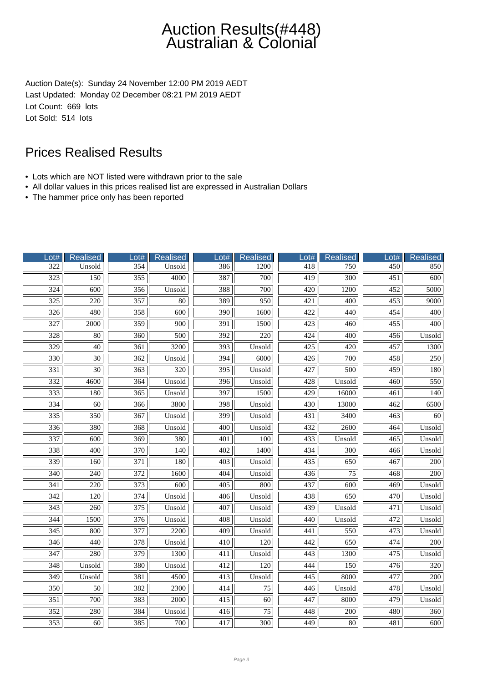Auction Date(s): Sunday 24 November 12:00 PM 2019 AEDT Last Updated: Monday 02 December 08:21 PM 2019 AEDT Lot Count: 669 lots Lot Sold: 514 lots

- Lots which are NOT listed were withdrawn prior to the sale
- All dollar values in this prices realised list are expressed in Australian Dollars
- The hammer price only has been reported

| Lot#             | Realised         | Lot#             | <b>Realised</b> | $_0$ ot#         | <b>Realised</b>  | ot# | Realised         | Lot#             | <b>Realised</b>  |
|------------------|------------------|------------------|-----------------|------------------|------------------|-----|------------------|------------------|------------------|
| 322              | Unsold           | 354              | Unsold          | 386              | 1200             | 418 | 750              | $\overline{450}$ | 850              |
| 323              | 150              | 355              | 4000            | 387              | $\overline{700}$ | 419 | $\overline{300}$ | $\overline{451}$ | $\overline{600}$ |
| 324              | 600              | 356              | Unsold          | 388              | 700              | 420 | 1200             | 452              | 5000             |
| $\overline{325}$ | 220              | 357              | 80              | 389              | 950              | 421 | 400              | 453              | 9000             |
| 326              | 480              | 358              | 600             | 390              | 1600             | 422 | 440              | 454              | 400              |
| $\overline{327}$ | 2000             | 359              | 900             | $\overline{391}$ | 1500             | 423 | 460              | 455              | 400              |
| 328              | 80               | 360              | 500             | 392              | 220              | 424 | 400              | 456              | Unsold           |
| 329              | 40               | $\overline{361}$ | 3200            | $\overline{393}$ | Unsold           | 425 | $\overline{420}$ | 457              | 1300             |
| 330              | 30               | 362              | Unsold          | 394              | 6000             | 426 | 700              | 458              | 250              |
| 331              | 30               | 363              | 320             | 395              | Unsold           | 427 | 500              | 459              | 180              |
| 332              | 4600             | 364              | Unsold          | 396              | Unsold           | 428 | Unsold           | 460              | 550              |
| $\overline{333}$ | 180              | 365              | Unsold          | 397              | 1500             | 429 | 16000            | 461              | $\overline{140}$ |
| 334              | $\overline{60}$  | 366              | 3800            | 398              | Unsold           | 430 | 13000            | $\overline{462}$ | 6500             |
| 335              | 350              | 367              | Unsold          | 399              | Unsold           | 431 | 3400             | 463              | 60               |
| 336              | 380              | 368              | Unsold          | 400              | Unsold           | 432 | 2600             | 464              | Unsold           |
| 337              | 600              | 369              | 380             | 401              | 100              | 433 | Unsold           | 465              | Unsold           |
| 338              | $\overline{400}$ | $\overline{370}$ | 140             | 402              | 1400             | 434 | $\overline{300}$ | 466              | Unsold           |
| 339              | 160              | 371              | 180             | 403              | Unsold           | 435 | 650              | 467              | 200              |
| $\overline{340}$ | $\overline{240}$ | 372              | 1600            | 404              | Unsold           | 436 | $\overline{75}$  | 468              | $\overline{200}$ |
| $\overline{341}$ | 220              | 373              | 600             | 405              | 800              | 437 | 600              | 469              | Unsold           |
| 342              | 120              | 374              | Unsold          | 406              | Unsold           | 438 | 650              | 470              | Unsold           |
| 343              | 260              | 375              | Unsold          | 407              | Unsold           | 439 | Unsold           | 471              | Unsold           |
| 344              | 1500             | $\overline{376}$ | Unsold          | 408              | Unsold           | 440 | Unsold           | 472              | Unsold           |
| $\frac{345}{ }$  | 800              | $\overline{377}$ | 2200            | 409              | Unsold           | 441 | 550              | 473              | Unsold           |
| 346              | 440              | 378              | Unsold          | 410              | 120              | 442 | 650              | 474              | 200              |
| 347              | 280              | 379              | 1300            | 411              | Unsold           | 443 | 1300             | 475              | Unsold           |
| 348              | Unsold           | 380              | Unsold          | 412              | 120              | 444 | 150              | 476              | 320              |
| 349              | Unsold           | 381              | 4500            | 413              | Unsold           | 445 | 8000             | 477              | 200              |
| 350              | 50               | 382              | 2300            | 414              | 75               | 446 | Unsold           | 478              | Unsold           |
| $\overline{351}$ | 700              | 383              | 2000            | 415              | $\overline{60}$  | 447 | 8000             | 479              | Unsold           |
| 352              | 280              | 384              | Unsold          | 416              | 75               | 448 | 200              | 480              | 360              |
| 353              | 60               | 385              | 700             | 417              | 300              | 449 | $80\,$           | 481              | 600              |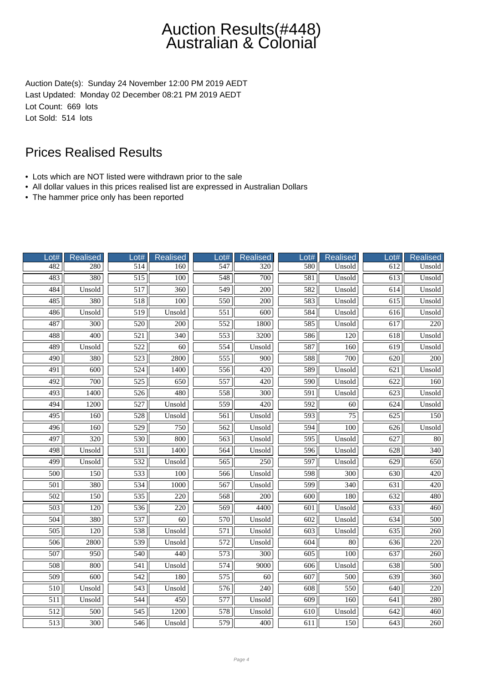Auction Date(s): Sunday 24 November 12:00 PM 2019 AEDT Last Updated: Monday 02 December 08:21 PM 2019 AEDT Lot Count: 669 lots Lot Sold: 514 lots

- Lots which are NOT listed were withdrawn prior to the sale
- All dollar values in this prices realised list are expressed in Australian Dollars
- The hammer price only has been reported

| Lot#             | Realised         | Lot#             | <b>Realised</b>  | Lot#             | <b>Realised</b>  | Lot#             | Realised         | Lot#             | Realised         |
|------------------|------------------|------------------|------------------|------------------|------------------|------------------|------------------|------------------|------------------|
| 482              | 280              | 514              | 160              | 547              | 320              | 580              | Unsold           | 612              | Unsold           |
| 483              | 380              | $\overline{515}$ | 100              | 548              | 700              | 581              | Unsold           | $\overline{613}$ | Unsold           |
| 484              | Unsold           | 517              | 360              | 549              | 200              | 582              | Unsold           | 614              | Unsold           |
| 485              | 380              | 518              | 100              | 550              | 200              | 583              | Unsold           | 615              | Unsold           |
| 486              | Unsold           | 519              | Unsold           | 551              | 600              | 584              | Unsold           | 616              | Unsold           |
| 487              | $\overline{300}$ | 520              | 200              | 552              | 1800             | 585              | Unsold           | 617              | 220              |
| 488              | $\overline{400}$ | $\overline{521}$ | 340              | $\overline{553}$ | 3200             | 586              | $\overline{120}$ | $\overline{618}$ | Unsold           |
| 489              | Unsold           | $\overline{522}$ | $\overline{60}$  | 554              | Unsold           | 587              | 160              | 619              | Unsold           |
| 490              | 380              | 523              | 2800             | 555              | 900              | 588              | 700              | 620              | 200              |
| 491              | 600              | 524              | 1400             | 556              | 420              | 589              | Unsold           | 621              | Unsold           |
| 492              | 700              | 525              | 650              | 557              | 420              | 590              | Unsold           | 622              | 160              |
| $\overline{493}$ | 1400             | $\overline{526}$ | 480              | 558              | $\overline{300}$ | $\overline{591}$ | Unsold           | $\overline{623}$ | Unsold           |
| 494              | 1200             | 527              | Unsold           | 559              | 420              | 592              | 60               | 624              | Unsold           |
| 495              | 160              | 528              | Unsold           | 561              | Unsold           | 593              | $\overline{75}$  | 625              | 150              |
| 496              | 160              | $\overline{529}$ | 750              | $\overline{562}$ | Unsold           | 594              | 100              | 626              | Unsold           |
| 497              | 320              | 530              | 800              | 563              | Unsold           | 595              | Unsold           | 627              | 80               |
| 498              | Unsold           | $\overline{531}$ | 1400             | 564              | Unsold           | 596              | Unsold           | 628              | 340              |
| 499              | Unsold           | 532              | Unsold           | 565              | 250              | 597              | Unsold           | 629              | 650              |
| $\overline{500}$ | 150              | 533              | 100              | 566              | Unsold           | 598              | $\overline{300}$ | 630              | 420              |
| 501              | 380              | 534              | 1000             | 567              | Unsold           | 599              | 340              | 631              | 420              |
| 502              | 150              | 535              | 220              | 568              | 200              | 600              | 180              | 632              | 480              |
| $\overline{503}$ | $\overline{120}$ | $\frac{1}{536}$  | $\overline{220}$ | 569              | 4400             | $\overline{601}$ | Unsold           | 633              | $\overline{460}$ |
| 504              | 380              | 537              | $\overline{60}$  | 570              | Unsold           | 602              | Unsold           | 634              | $\overline{500}$ |
| $\overline{505}$ | 120              | 538              | Unsold           | 571              | Unsold           | $\overline{603}$ | Unsold           | 635              | 260              |
| $\overline{506}$ | 2800             | 539              | Unsold           | 572              | Unsold           | 604              | 80               | 636              | 220              |
| 507              | 950              | 540              | 440              | 573              | 300              | 605              | 100              | 637              | 260              |
| 508              | 800              | 541              | Unsold           | 574              | 9000             | 606              | Unsold           | 638              | 500              |
| 509              | 600              | 542              | 180              | 575              | 60               | 607              | 500              | 639              | 360              |
| 510              | Unsold           | $\overline{543}$ | Unsold           | 576              | $\overline{240}$ | 608              | 550              | 640              | 220              |
| 511              | Unsold           | 544              | 450              | 577              | Unsold           | 609              | 160              | 641              | 280              |
| 512              | 500              | 545              | 1200             | 578              | Unsold           | 610              | Unsold           | 642              | 460              |
| 513              | $\overline{300}$ | 546              | Unsold           | 579              | 400              | 611              | 150              | 643              | 260              |